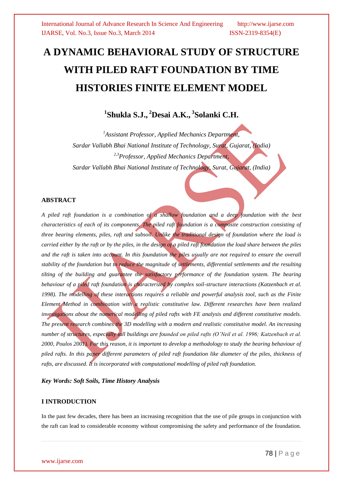# **A DYNAMIC BEHAVIORAL STUDY OF STRUCTURE WITH PILED RAFT FOUNDATION BY TIME HISTORIES FINITE ELEMENT MODEL**

## **1 Shukla S.J., <sup>2</sup>Desai A.K., <sup>3</sup> Solanki C.H.**

*<sup>1</sup>Assistant Professor, Applied Mechanics Department, Sardar Vallabh Bhai National Institute of Technology, Surat, Gujarat, (India) 2,3Professor, Applied Mechanics Department, Sardar Vallabh Bhai National Institute of Technology, Surat, Gujarat, (India)*

## **ABSTRACT**

*A piled raft foundation is a combination of a shallow foundation and a deep foundation with the best characteristics of each of its components. The piled raft foundation is a composite construction consisting of three bearing elements, piles, raft and subsoil. Unlike the traditional design of foundation where the load is carried either by the raft or by the piles, in the design of a piled raft foundation the load share between the piles*  and the raft is taken into account. In this foundation the piles usually are not required to ensure the overall *stability of the foundation but to reduce the magnitude of settlements, differential settlements and the resulting tilting of the building and guarantee the satisfactory performance of the foundation system. The bearing behaviour of a piled raft foundation is characterized by complex soil-structure interactions (Katzenbach et al.*  1998). The modelling of these interactions requires a reliable and powerful analysis tool, such as the Finite *Element Method in combination with a realistic constitutive law. Different researches have been realized investigations about the numerical modelling of piled rafts with FE analysis and different constitutive models. The present research combines the 3D modelling with a modern and realistic constitutive model. An increasing number of structures, especially tall buildings are founded on piled rafts (O'Neil et al. 1996; Katzenbach et al. 2000, Poulos 2001). For this reason, it is important to develop a methodology to study the bearing behaviour of piled rafts. In this paper different parameters of piled raft foundation like diameter of the piles, thickness of rafts, are discussed. It is incorporated with computational modelling of piled raft foundation.* 

*Key Words: Soft Soils, Time History Analysis*

#### **I INTRODUCTION**

In the past few decades, there has been an increasing recognition that the use of pile groups in conjunction with the raft can lead to considerable economy without compromising the safety and performance of the foundation.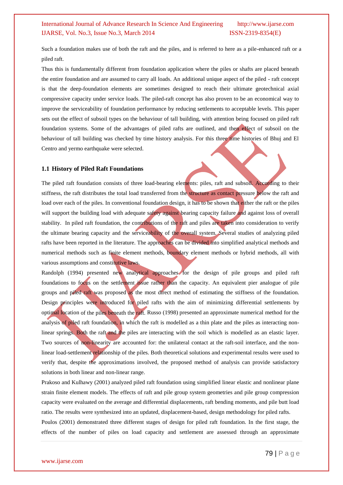Such a foundation makes use of both the raft and the piles, and is referred to here as a pile-enhanced raft or a piled raft.

Thus this is fundamentally different from foundation application where the piles or shafts are placed beneath the entire foundation and are assumed to carry all loads. An additional unique aspect of the piled - raft concept is that the deep-foundation elements are sometimes designed to reach their ultimate geotechnical axial compressive capacity under service loads. The piled-raft concept has also proven to be an economical way to improve the serviceability of foundation performance by reducing settlements to acceptable levels. This paper sets out the effect of subsoil types on the behaviour of tall building, with attention being focused on piled raft foundation systems. Some of the advantages of piled rafts are outlined, and then effect of subsoil on the behaviour of tall building was checked by time history analysis. For this three time histories of Bhuj and El Centro and yermo earthquake were selected.

#### **1.1 History of Piled Raft Foundations**

The piled raft foundation consists of three load-bearing elements: piles, raft and subsoil. According to their stiffness, the raft distributes the total load transferred from the structure as contact pressure below the raft and load over each of the piles. In conventional foundation design, it has to be shown that either the raft or the piles will support the building load with adequate safety against bearing capacity failure and against loss of overall stability. In piled raft foundation, the contributions of the raft and piles are taken into consideration to verify the ultimate bearing capacity and the serviceability of the overall system. Several studies of analyzing piled rafts have been reported in the literature. The approaches can be divided into simplified analytical methods and numerical methods such as finite element methods, boundary element methods or hybrid methods, all with various assumptions and constitutive laws.

Randolph (1994) presented new analytical approaches for the design of pile groups and piled raft foundations to focus on the settlement issue rather than the capacity. An equivalent pier analogue of pile groups and piled raft was proposed as the most direct method of estimating the stiffness of the foundation. Design principles were introduced for piled rafts with the aim of minimizing differential settlements by optimal location of the piles beneath the raft. Russo (1998) presented an approximate numerical method for the analysis of piled raft foundation, in which the raft is modelled as a thin plate and the piles as interacting nonlinear springs. Both the raft and the piles are interacting with the soil which is modelled as an elastic layer. Two sources of non-linearity are accounted for: the unilateral contact at the raft-soil interface, and the nonlinear load-settlement relationship of the piles. Both theoretical solutions and experimental results were used to verify that, despite the approximations involved, the proposed method of analysis can provide satisfactory solutions in both linear and non-linear range.

Prakoso and Kulhawy (2001) analyzed piled raft foundation using simplified linear elastic and nonlinear plane strain finite element models. The effects of raft and pile group system geometries and pile group compression capacity were evaluated on the average and differential displacements, raft bending moments, and pile butt load ratio. The results were synthesized into an updated, displacement-based, design methodology for piled rafts. Poulos (2001) demonstrated three different stages of design for piled raft foundation. In the first stage, the effects of the number of piles on load capacity and settlement are assessed through an approximate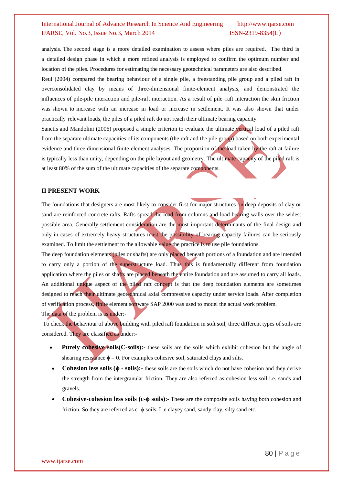analysis. The second stage is a more detailed examination to assess where piles are required. The third is a detailed design phase in which a more refined analysis is employed to confirm the optimum number and location of the piles. Procedures for estimating the necessary geotechnical parameters are also described.

Reul (2004) compared the bearing behaviour of a single pile, a freestanding pile group and a piled raft in overconsolidated clay by means of three-dimensional finite-element analysis, and demonstrated the influences of pile-pile interaction and pile-raft interaction. As a result of pile–raft interaction the skin friction was shown to increase with an increase in load or increase in settlement. It was also shown that under practically relevant loads, the piles of a piled raft do not reach their ultimate bearing capacity.

Sanctis and Mandolini (2006) proposed a simple criterion to evaluate the ultimate vertical load of a piled raft from the separate ultimate capacities of its components (the raft and the pile group) based on both experimental evidence and three dimensional finite-element analyses. The proportion of the load taken by the raft at failure is typically less than unity, depending on the pile layout and geometry. The ultimate capacity of the piled raft is at least 80% of the sum of the ultimate capacities of the separate components.

#### **II PRESENT WORK**

The foundations that designers are most likely to consider first for major structures on deep deposits of clay or sand are reinforced concrete rafts. Rafts spread the load from columns and load bearing walls over the widest possible area. Generally settlement consideration are the most important determinants of the final design and only in cases of extremely heavy structures must the possibility of bearing capacity failures can be seriously examined. To limit the settlement to the allowable value the practice is to use pile foundations.

The deep foundation elements (piles or shafts) are only placed beneath portions of a foundation and are intended to carry only a portion of the superstructure load. Thus this is fundamentally different from foundation application where the piles or shafts are placed beneath the entire foundation and are assumed to carry all loads. An additional unique aspect of the piled raft concept is that the deep foundation elements are sometimes designed to reach their ultimate geotechnical axial compressive capacity under service loads. After completion of verification process, finite element software SAP 2000 was used to model the actual work problem.

The data of the problem is as under:-

To check the behaviour of above building with piled raft foundation in soft soil, three different types of soils are considered. They are classified as under:-

- **Purely cohesive soils(C-soils):-** these soils are the soils which exhibit cohesion but the angle of shearing resistance  $\phi = 0$ . For examples cohesive soil, saturated clays and silts.
- **Cohesion less soils (ϕ - soils):-** these soils are the soils which do not have cohesion and they derive the strength from the intergranular friction. They are also referred as cohesion less soil i.e. sands and gravels.
- **Cohesive-cohesion less soils (c-ϕ soils):-** These are the composite soils having both cohesion and friction. So they are referred as  $c - \phi$  soils. I .e clayey sand, sandy clay, silty sand etc.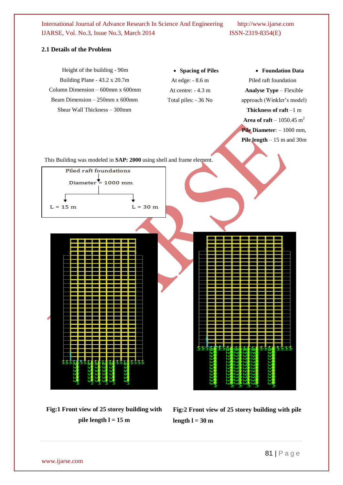## **2.1 Details of the Problem**



**Fig:1 Front view of 25 storey building with pile length l = 15 m**

**Fig:2 Front view of 25 storey building with pile**  length  $l = 30$  m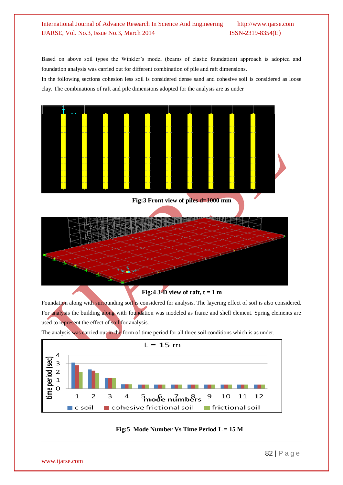Based on above soil types the Winkler's model (beams of elastic foundation) approach is adopted and foundation analysis was carried out for different combination of pile and raft dimensions.

In the following sections cohesion less soil is considered dense sand and cohesive soil is considered as loose clay. The combinations of raft and pile dimensions adopted for the analysis are as under



**Fig:4 3-D view of raft,**  $t = 1$  **m** 

Foundation along with surrounding soil is considered for analysis. The layering effect of soil is also considered. For analysis the building along with foundation was modeled as frame and shell element. Spring elements are used to represent the effect of soil for analysis.

The analysis was carried out in the form of time period for all three soil conditions which is as under.



#### **Fig:5 Mode Number Vs Time Period L = 15 M**

www.ijarse.com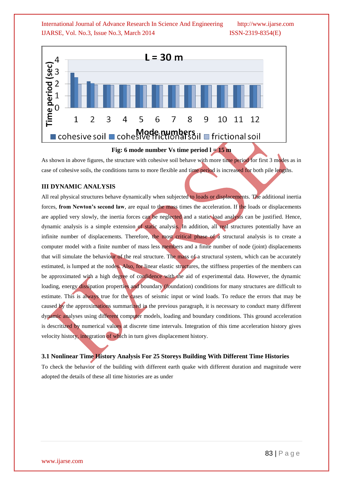

**Fig: 6 mode number Vs time period l = 15 m**

As shown in above figures, the structure with cohesive soil behave with more time period for first 3 modes as in case of cohesive soils, the conditions turns to more flexible and time period is increased for both pile lengths.

## **III DYNAMIC ANALYSIS**

All real physical structures behave dynamically when subjected to loads or displacements. The additional inertia forces, **from Newton's second law**, are equal to the mass times the acceleration. If the loads or displacements are applied very slowly, the inertia forces can be neglected and a static load analysis can be justified. Hence, dynamic analysis is a simple extension of static analysis. In addition, all real structures potentially have an infinite number of displacements. Therefore, the most critical phase of a structural analysis is to create a computer model with a finite number of mass less members and a finite number of node (joint) displacements that will simulate the behaviour of the real structure. The mass of a structural system, which can be accurately estimated, is lumped at the nodes. Also, for linear elastic structures, the stiffness properties of the members can be approximated with a high degree of confidence with the aid of experimental data. However, the dynamic loading, energy dissipation properties and boundary (foundation) conditions for many structures are difficult to estimate. This is always true for the cases of seismic input or wind loads. To reduce the errors that may be caused by the approximations summarized in the previous paragraph, it is necessary to conduct many different dynamic analyses using different computer models, loading and boundary conditions. This ground acceleration is descritized by numerical values at discrete time intervals. Integration of this time acceleration history gives velocity history, integration of which in turn gives displacement history.

#### **3.1 Nonlinear Time History Analysis For 25 Storeys Building With Different Time Histories**

To check the behavior of the building with different earth quake with different duration and magnitude were adopted the details of these all time histories are as under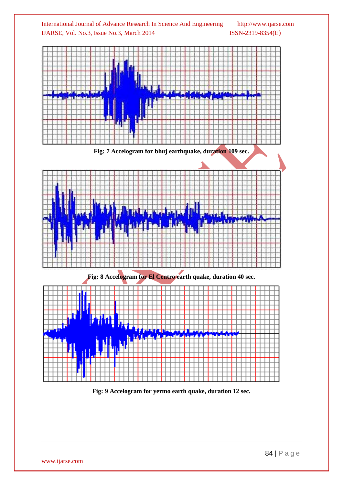

**Fig: 9 Accelogram for yermo earth quake, duration 12 sec.**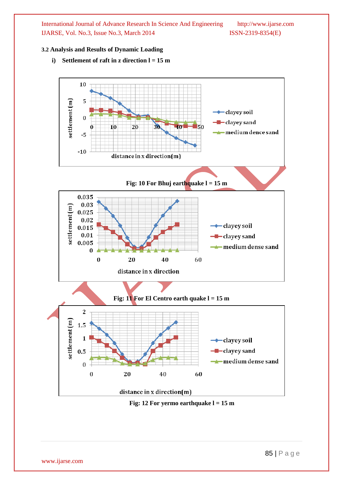#### **3.2 Analysis and Results of Dynamic Loading**



**i**) **Settlement of raft in z direction**  $l = 15$  **m**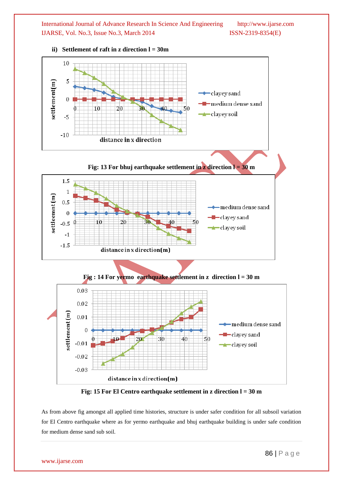![](_page_8_Figure_1.jpeg)

#### **ii) Settlement of raft in z direction l = 30m**

![](_page_8_Figure_3.jpeg)

As from above fig amongst all applied time histories, structure is under safer condition for all subsoil variation for El Centro earthquake where as for yermo earthquake and bhuj earthquake building is under safe condition for medium dense sand sub soil.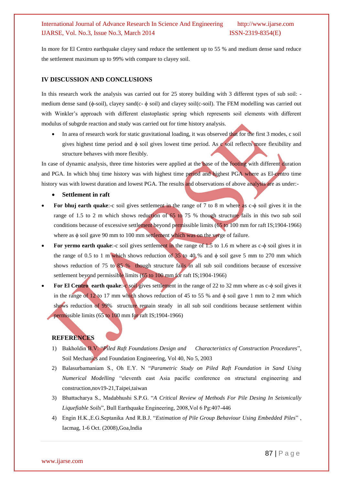In more for El Centro earthquake clayey sand reduce the settlement up to 55 % and medium dense sand reduce the settlement maximum up to 99% with compare to clayey soil.

#### **IV DISCUSSION AND CONCLUSIONS**

In this research work the analysis was carried out for 25 storey building with 3 different types of sub soil: medium dense sand (ϕ-soil), clayey sand(c- ϕ soil) and clayey soil(c-soil). The FEM modelling was carried out with Winkler's approach with different elastoplastic spring which represents soil elements with different modulus of subgrde reaction and study was carried out for time history analysis.

 In area of research work for static gravitational loading, it was observed that for the first 3 modes, c soil gives highest time period and  $\phi$  soil gives lowest time period. As c soil reflects more flexibility and structure behaves with more flexibly.

In case of dynamic analysis, three time histories were applied at the base of the footing with different duration and PGA. In which bhuj time history was with highest time period and highest PGA where as El-centro time history was with lowest duration and lowest PGA. The results and observations of above analysis are as under:-

- **Settlement in raft**
- **For bhuj earth quake:-c** soil gives settlement in the range of 7 to 8 m where as c- $\phi$  soil gives it in the range of 1.5 to 2 m which shows reduction of 65 to 75 % though structure fails in this two sub soil conditions because of excessive settlement beyond permissible limits (65 to 100 mm for raft IS;1904-1966) where as φ soil gave 90 mm to 100 mm settlement which was on the verge of failure.
- **For yermo earth quake:**-c soil gives settlement in the range of 1.5 to 1.6 m where as c-ϕ soil gives it in the range of 0.5 to 1 m which shows reduction of 35 to 40 % and  $\phi$  soil gave 5 mm to 270 mm which shows reduction of 75 to 85 % though structure fails in all sub soil conditions because of excessive settlement beyond permissible limits (65 to 100 mm for raft IS;1904-1966)
- **For El Centro** earth quake: c soil gives settlement in the range of 22 to 32 mm where as c-ϕ soil gives it in the range of  $12$  to 17 mm which shows reduction of 45 to 55 % and  $\phi$  soil gave 1 mm to 2 mm which shows reduction of 99% structure remain steady in all sub soil conditions because settlement within permissible limits (65 to 100 mm for raft IS;1904-1966)

#### **REFERENCES**

- 1) Bakholdin B.V. "*Piled Raft Foundations Design and Characteristics of Construction Procedures*", Soil Mechanics and Foundation Engineering, Vol 40, No 5, 2003
- 2) Balasurbamaniam S., Oh E.Y. N "*Parametric Study on Piled Raft Foundation in Sand Using Numerical Modelling* "eleventh east Asia pacific conference on structural engineering and construction,nov19-21,Taipei,taiwan
- 3) Bhattacharya S., Madabhushi S.P.G. "*A Critical Review of Methods For Pile Desing In Seismically Liquefiable Soils*", Bull Earthquake Engineering, 2008,Vol 6 Pg:407-446
- 4) Engin H.K.,E.G.Septanika And R.B.J. "*Estimation of Pile Group Behaviour Using Embedded Piles*" , Iacmag, 1-6 Oct. (2008),Goa,India